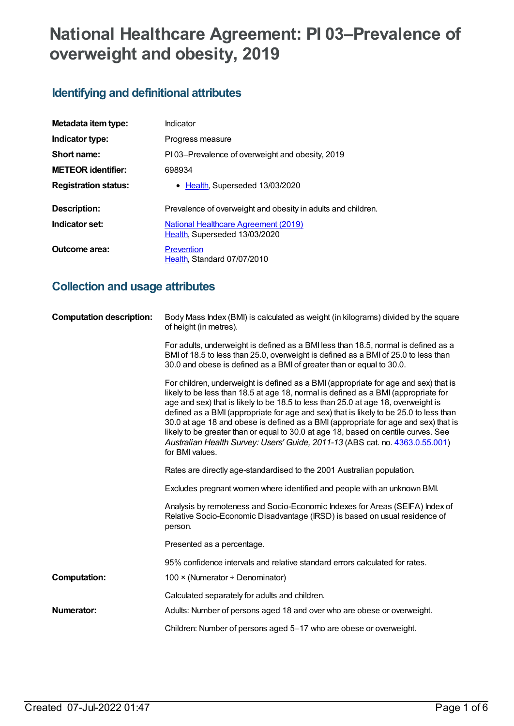# **National Healthcare Agreement: PI 03–Prevalence of overweight and obesity, 2019**

# **Identifying and definitional attributes**

| Metadata item type:         | Indicator                                                                    |
|-----------------------------|------------------------------------------------------------------------------|
| Indicator type:             | Progress measure                                                             |
| Short name:                 | PI03–Prevalence of overweight and obesity, 2019                              |
| <b>METEOR identifier:</b>   | 698934                                                                       |
| <b>Registration status:</b> | • Health, Superseded 13/03/2020                                              |
| Description:                | Prevalence of overweight and obesity in adults and children.                 |
| Indicator set:              | <b>National Healthcare Agreement (2019)</b><br>Health, Superseded 13/03/2020 |
| Outcome area:               | Prevention<br>Health, Standard 07/07/2010                                    |

# **Collection and usage attributes**

| <b>Computation description:</b> | Body Mass Index (BMI) is calculated as weight (in kilograms) divided by the square<br>of height (in metres).                                                                                                                                                                                                                                                                                                                                                                                                                                                                                                                           |
|---------------------------------|----------------------------------------------------------------------------------------------------------------------------------------------------------------------------------------------------------------------------------------------------------------------------------------------------------------------------------------------------------------------------------------------------------------------------------------------------------------------------------------------------------------------------------------------------------------------------------------------------------------------------------------|
|                                 | For adults, underweight is defined as a BMI less than 18.5, normal is defined as a<br>BMI of 18.5 to less than 25.0, overweight is defined as a BMI of 25.0 to less than<br>30.0 and obese is defined as a BMI of greater than or equal to 30.0.                                                                                                                                                                                                                                                                                                                                                                                       |
|                                 | For children, underweight is defined as a BMI (appropriate for age and sex) that is<br>likely to be less than 18.5 at age 18, normal is defined as a BMI (appropriate for<br>age and sex) that is likely to be 18.5 to less than 25.0 at age 18, overweight is<br>defined as a BMI (appropriate for age and sex) that is likely to be 25.0 to less than<br>30.0 at age 18 and obese is defined as a BMI (appropriate for age and sex) that is<br>likely to be greater than or equal to 30.0 at age 18, based on centile curves. See<br>Australian Health Survey: Users' Guide, 2011-13 (ABS cat. no. 4363.0.55.001)<br>for BMI values. |
|                                 | Rates are directly age-standardised to the 2001 Australian population.                                                                                                                                                                                                                                                                                                                                                                                                                                                                                                                                                                 |
|                                 | Excludes pregnant women where identified and people with an unknown BMI.                                                                                                                                                                                                                                                                                                                                                                                                                                                                                                                                                               |
|                                 | Analysis by remoteness and Socio-Economic Indexes for Areas (SEIFA) Index of<br>Relative Socio-Economic Disadvantage (IRSD) is based on usual residence of<br>person.                                                                                                                                                                                                                                                                                                                                                                                                                                                                  |
|                                 | Presented as a percentage.                                                                                                                                                                                                                                                                                                                                                                                                                                                                                                                                                                                                             |
|                                 | 95% confidence intervals and relative standard errors calculated for rates.                                                                                                                                                                                                                                                                                                                                                                                                                                                                                                                                                            |
| <b>Computation:</b>             | 100 $\times$ (Numerator ÷ Denominator)                                                                                                                                                                                                                                                                                                                                                                                                                                                                                                                                                                                                 |
|                                 | Calculated separately for adults and children.                                                                                                                                                                                                                                                                                                                                                                                                                                                                                                                                                                                         |
| Numerator:                      | Adults: Number of persons aged 18 and over who are obese or overweight.                                                                                                                                                                                                                                                                                                                                                                                                                                                                                                                                                                |
|                                 | Children: Number of persons aged 5-17 who are obese or overweight.                                                                                                                                                                                                                                                                                                                                                                                                                                                                                                                                                                     |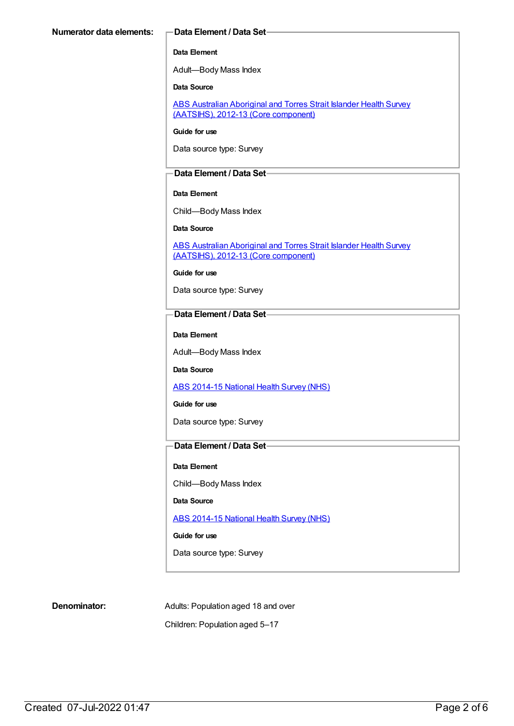#### **Data Element**

Adult—Body Mass Index

**Data Source**

ABS Australian Aboriginal and Torres Strait Islander Health Survey (AATSIHS), 2012-13 (Core [component\)](https://meteor.aihw.gov.au/content/585485)

**Guide for use**

Data source type: Survey

#### **Data Element / Data Set**

**Data Element**

Child—Body Mass Index

**Data Source**

ABS Australian Aboriginal and Torres Strait Islander Health Survey (AATSIHS), 2012-13 (Core [component\)](https://meteor.aihw.gov.au/content/585485)

**Guide for use**

Data source type: Survey

#### **Data Element / Data Set**

**Data Element**

Adult—Body Mass Index

**Data Source**

ABS [2014-15](https://meteor.aihw.gov.au/content/644695) National Health Survey (NHS)

**Guide for use**

Data source type: Survey

#### **Data Element / Data Set**

**Data Element**

Child—Body Mass Index

**Data Source**

ABS [2014-15](https://meteor.aihw.gov.au/content/644695) National Health Survey (NHS)

**Guide for use**

Data source type: Survey

**Denominator:** Adults: Population aged 18 and over

Children: Population aged 5–17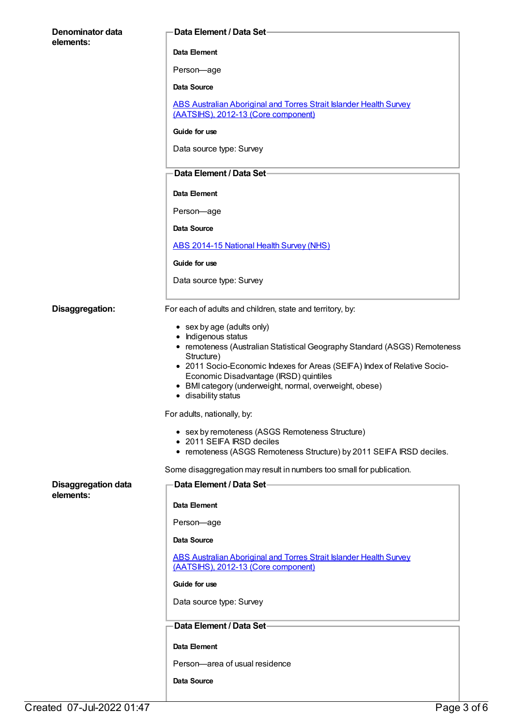| Denominator data                        | Data Element / Data Set-                                                                                                                                                                                                                                                                                                                                                                                                                                                                                                                                                                                            |
|-----------------------------------------|---------------------------------------------------------------------------------------------------------------------------------------------------------------------------------------------------------------------------------------------------------------------------------------------------------------------------------------------------------------------------------------------------------------------------------------------------------------------------------------------------------------------------------------------------------------------------------------------------------------------|
| elements:                               | Data Element                                                                                                                                                                                                                                                                                                                                                                                                                                                                                                                                                                                                        |
|                                         | Person-age                                                                                                                                                                                                                                                                                                                                                                                                                                                                                                                                                                                                          |
|                                         | Data Source                                                                                                                                                                                                                                                                                                                                                                                                                                                                                                                                                                                                         |
|                                         | <b>ABS Australian Aboriginal and Torres Strait Islander Health Survey</b><br>(AATSIHS), 2012-13 (Core component)                                                                                                                                                                                                                                                                                                                                                                                                                                                                                                    |
|                                         | Guide for use                                                                                                                                                                                                                                                                                                                                                                                                                                                                                                                                                                                                       |
|                                         | Data source type: Survey                                                                                                                                                                                                                                                                                                                                                                                                                                                                                                                                                                                            |
|                                         | Data Element / Data Set-                                                                                                                                                                                                                                                                                                                                                                                                                                                                                                                                                                                            |
|                                         | Data Element                                                                                                                                                                                                                                                                                                                                                                                                                                                                                                                                                                                                        |
|                                         | Person-age                                                                                                                                                                                                                                                                                                                                                                                                                                                                                                                                                                                                          |
|                                         | Data Source                                                                                                                                                                                                                                                                                                                                                                                                                                                                                                                                                                                                         |
|                                         | <b>ABS 2014-15 National Health Survey (NHS)</b>                                                                                                                                                                                                                                                                                                                                                                                                                                                                                                                                                                     |
|                                         | Guide for use                                                                                                                                                                                                                                                                                                                                                                                                                                                                                                                                                                                                       |
|                                         | Data source type: Survey                                                                                                                                                                                                                                                                                                                                                                                                                                                                                                                                                                                            |
| Disaggregation:                         | For each of adults and children, state and territory, by:                                                                                                                                                                                                                                                                                                                                                                                                                                                                                                                                                           |
|                                         | • sex by age (adults only)<br>• Indigenous status<br>• remoteness (Australian Statistical Geography Standard (ASGS) Remoteness<br>Structure)<br>• 2011 Socio-Economic Indexes for Areas (SEIFA) Index of Relative Socio-<br>Economic Disadvantage (IRSD) quintiles<br>• BMI category (underweight, normal, overweight, obese)<br>• disability status<br>For adults, nationally, by:<br>• sex by remoteness (ASGS Remoteness Structure)<br>• 2011 SEIFA IRSD deciles<br>• remoteness (ASGS Remoteness Structure) by 2011 SEIFA IRSD deciles.<br>Some disaggregation may result in numbers too small for publication. |
| <b>Disaggregation data</b><br>elements: | Data Element / Data Set-                                                                                                                                                                                                                                                                                                                                                                                                                                                                                                                                                                                            |
|                                         | Data Element                                                                                                                                                                                                                                                                                                                                                                                                                                                                                                                                                                                                        |
|                                         | Person-age                                                                                                                                                                                                                                                                                                                                                                                                                                                                                                                                                                                                          |
|                                         | Data Source                                                                                                                                                                                                                                                                                                                                                                                                                                                                                                                                                                                                         |
|                                         | <b>ABS Australian Aboriginal and Torres Strait Islander Health Survey</b><br>(AATSIHS), 2012-13 (Core component)                                                                                                                                                                                                                                                                                                                                                                                                                                                                                                    |
|                                         | Guide for use                                                                                                                                                                                                                                                                                                                                                                                                                                                                                                                                                                                                       |
|                                         | Data source type: Survey                                                                                                                                                                                                                                                                                                                                                                                                                                                                                                                                                                                            |
|                                         | Data Element / Data Set                                                                                                                                                                                                                                                                                                                                                                                                                                                                                                                                                                                             |
|                                         | Data Element                                                                                                                                                                                                                                                                                                                                                                                                                                                                                                                                                                                                        |
|                                         | Person-area of usual residence                                                                                                                                                                                                                                                                                                                                                                                                                                                                                                                                                                                      |
|                                         | Data Source                                                                                                                                                                                                                                                                                                                                                                                                                                                                                                                                                                                                         |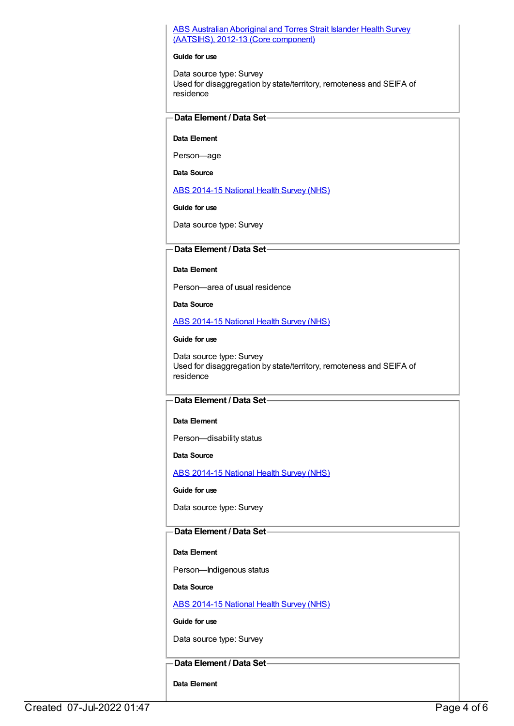#### ABS Australian Aboriginal and Torres Strait Islander Health Survey (AATSIHS), 2012-13 (Core [component\)](https://meteor.aihw.gov.au/content/585485)

#### **Guide for use**

Data source type: Survey Used for disaggregation by state/territory, remoteness and SEIFA of residence

#### **Data Element / Data Set**

#### **Data Element**

Person—age

**Data Source**

ABS [2014-15](https://meteor.aihw.gov.au/content/644695) National Health Survey (NHS)

**Guide for use**

Data source type: Survey

#### **Data Element / Data Set**

#### **Data Element**

Person—area of usual residence

**Data Source**

ABS [2014-15](https://meteor.aihw.gov.au/content/644695) National Health Survey (NHS)

#### **Guide for use**

Data source type: Survey Used for disaggregation by state/territory, remoteness and SEIFA of residence

#### **Data Element / Data Set**

#### **Data Element**

Person—disability status

**Data Source**

ABS [2014-15](https://meteor.aihw.gov.au/content/644695) National Health Survey (NHS)

**Guide for use**

Data source type: Survey

### **Data Element / Data Set**

#### **Data Element**

Person—Indigenous status

**Data Source**

ABS [2014-15](https://meteor.aihw.gov.au/content/644695) National Health Survey (NHS)

**Guide for use**

Data source type: Survey

## **Data Element / Data Set**

**Data Element**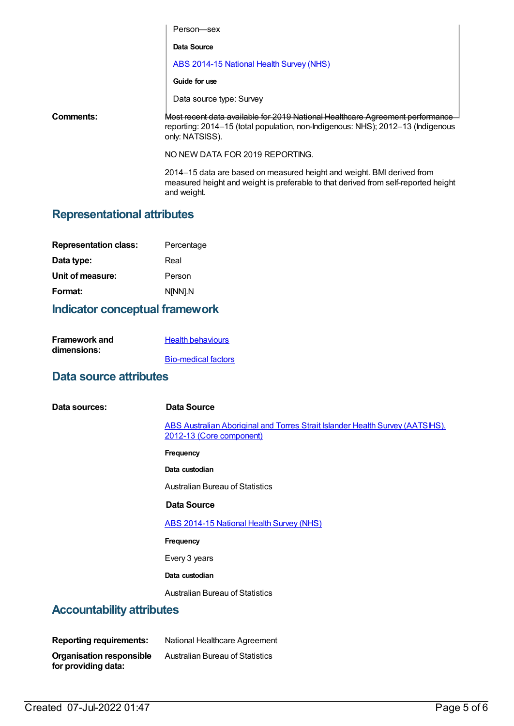|           | Person-sex                                                                                                                                                                          |
|-----------|-------------------------------------------------------------------------------------------------------------------------------------------------------------------------------------|
|           | Data Source                                                                                                                                                                         |
|           | <b>ABS 2014-15 National Health Survey (NHS)</b>                                                                                                                                     |
|           | Guide for use                                                                                                                                                                       |
|           | Data source type: Survey                                                                                                                                                            |
| Comments: | Most recent data available for 2019 National Healthcare Agreement performance<br>reporting: 2014–15 (total population, non-Indigenous: NHS); 2012–13 (Indigenous<br>only: NATSISS). |
|           | NO NEW DATA FOR 2019 REPORTING.                                                                                                                                                     |
|           | 2014–15 data are based on measured height and weight. BMI derived from<br>measured height and weight is preferable to that derived from self-reported height<br>and weight.         |

# **Representational attributes**

| Percentage |
|------------|
| Real       |
| Person     |
| N[NN].N    |
|            |

# **Indicator conceptual framework**

| <b>Framework and</b> | <b>Health behaviours</b>   |
|----------------------|----------------------------|
| dimensions:          |                            |
|                      | <b>Bio-medical factors</b> |

# **Data source attributes**

#### **Data sources: Data Source**

ABS Australian Aboriginal and Torres Strait Islander Health Survey [\(AATSIHS\),](https://meteor.aihw.gov.au/content/585485) 2012-13 (Core component)

**Frequency**

**Data custodian**

Australian Bureau of Statistics

## **Data Source**

ABS [2014-15](https://meteor.aihw.gov.au/content/644695) National Health Survey (NHS)

**Frequency**

Every 3 years

**Data custodian**

Australian Bureau of Statistics

# **Accountability attributes**

| <b>Reporting requirements:</b>                         | National Healthcare Agreement          |
|--------------------------------------------------------|----------------------------------------|
| <b>Organisation responsible</b><br>for providing data: | <b>Australian Bureau of Statistics</b> |